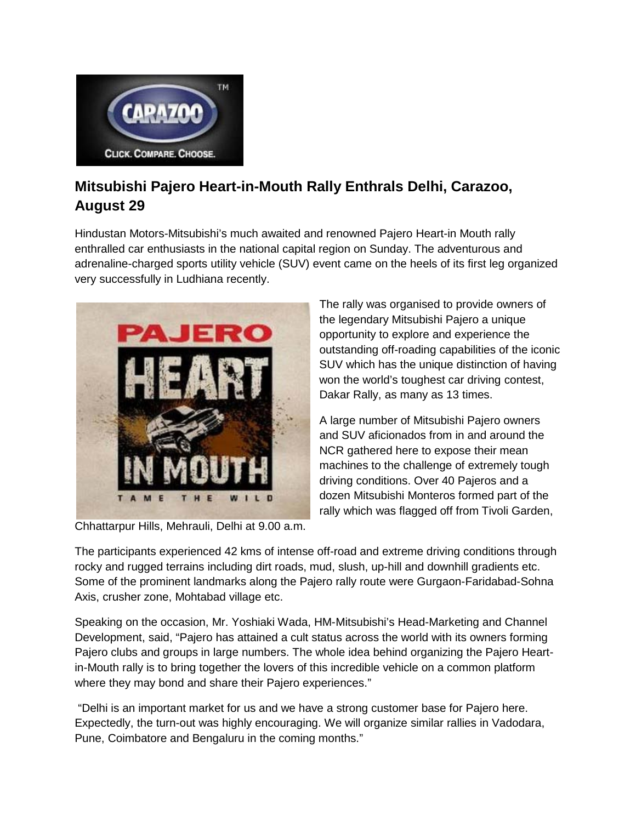

## **Mitsubishi Pajero Heart-in-Mouth Rally Enthrals Delhi, Carazoo, August 29**

Hindustan Motors-Mitsubishi's much awaited and renowned Pajero Heart-in Mouth rally enthralled car enthusiasts in the national capital region on Sunday. The adventurous and adrenaline-charged sports utility vehicle (SUV) event came on the heels of its first leg organized very successfully in Ludhiana recently.



Chhattarpur Hills, Mehrauli, Delhi at 9.00 a.m.

The rally was organised to provide owners of the legendary Mitsubishi Pajero a unique opportunity to explore and experience the outstanding off-roading capabilities of the iconic SUV which has the unique distinction of having won the world's toughest car driving contest, Dakar Rally, as many as 13 times.

A large number of Mitsubishi Pajero owners and SUV aficionados from in and around the NCR gathered here to expose their mean machines to the challenge of extremely tough driving conditions. Over 40 Pajeros and a dozen Mitsubishi Monteros formed part of the rally which was flagged off from Tivoli Garden,

The participants experienced 42 kms of intense off-road and extreme driving conditions through rocky and rugged terrains including dirt roads, mud, slush, up-hill and downhill gradients etc. Some of the prominent landmarks along the Pajero rally route were Gurgaon-Faridabad-Sohna Axis, crusher zone, Mohtabad village etc.

Speaking on the occasion, Mr. Yoshiaki Wada, HM-Mitsubishi's Head-Marketing and Channel Development, said, "Pajero has attained a cult status across the world with its owners forming Pajero clubs and groups in large numbers. The whole idea behind organizing the Pajero Heartin-Mouth rally is to bring together the lovers of this incredible vehicle on a common platform where they may bond and share their Pajero experiences."

"Delhi is an important market for us and we have a strong customer base for Pajero here. Expectedly, the turn-out was highly encouraging. We will organize similar rallies in Vadodara, Pune, Coimbatore and Bengaluru in the coming months."